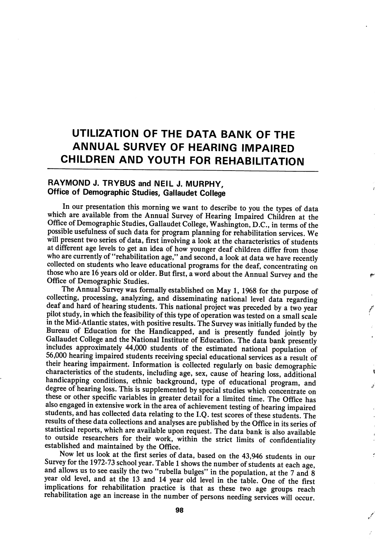# UTILIZATION OF THE DATA BANK OF THE ANNUAL SURVEY OF HEARING IMPAIRED CHILDREN AND YOUTH FOR REHABILITATION

# RAYMOND J. TRYBUS and NEIL J. MURPHY, Office of Demographic Studies, Gallaudet College

In our presentation this morning we want to describe to you the types of data which are available from the Annual Survey of Hearing Impaired Children at the Office of Demographic Studies, Gallaudet College, Washington, D.C., in terms of the possible usefulness of such data for program planning for rehabilitation services. We will present two series of data, first involving a look at the characteristics of students at different age levels to get an idea of how younger deaf children differ from those who are currently of "rehabilitation age," and second, a look at data we have recently collected on students who leave educational programs for the deaf, concentrating on those who are 16 years old or older. But first, a word about the Annual Survey and the Office of Demographic Studies.

The Annual Survey was formally established on May 1, 1968 for the purpose of collecting, processing, analyzing, and disseminating national level data regarding deaf and hard of hearing students. This national project was preceded by a two year pilot study, in which the feasibility of this type of operation was tested on a small scale in the Mid-Atlantic states, with positive results. The Survey was initially funded by the Bureau of Education for the Handicapped, and is presently funded jointly by Gallaudet College and the National Institute of Education. The data bank presently includes approximately 44,000 students of the estimated national population of 56,000 hearing impaired students receiving special educational services as a result of their hearing impairment. Information is collected regularly on basic demographic characteristics of the students, including age, sex, cause of hearing loss, additional handicapping conditions, ethnic background, type of educational program, and degree of hearing loss. This is supplemented by special studies which concentrate on these or other specific variables in greater detail for a limited time. The Office has also engaged in extensive work in the area of achievement testing of hearing impaired students, and has collected data relating to the I.Q. test scores of these students. The results of these data collections and analyses are published by the Office in its series of statistical reports, which are available upon request. The data bank is also available to outside researchers for their work, within the strict limits of confidentiality established and maintained by the Office.

Now let us look at the first series of data, based on the 43,946 students in our Survey for the 1972-73 school year. Table 1 shows the number of students at each age, and allows us to see easily the two "rubella bulges" in the population, at the  $7$  and  $8$ year old level, and at the 13 and 14 year old level in the table. One of the first implications for rehabilitation practice is that as these two age groups reach rehabilitation age an increase in the number of persons needing services will occur.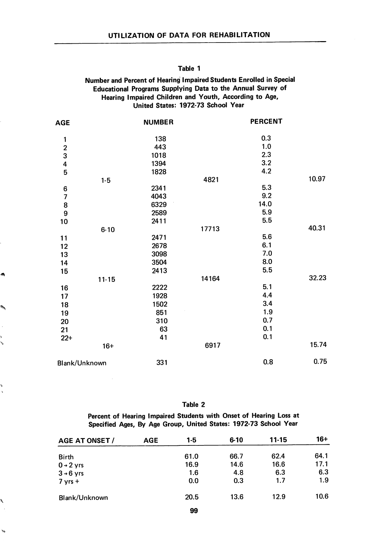# Number and Percent of Hearing Impaired Students Enrolled in Special Educational Programs Supplying Data to the Annual Survey of Hearing Impaired Children and Youth, According to Age, United States: 1972-73 School Year

| <b>AGE</b>                                 | <b>NUMBER</b> |       | <b>PERCENT</b> |       |
|--------------------------------------------|---------------|-------|----------------|-------|
| 1                                          | 138           |       | 0.3            |       |
|                                            | 443           |       | 1.0            |       |
| $\begin{array}{c} 2 \\ 3 \\ 4 \end{array}$ | 1018          |       | 2.3            |       |
|                                            | 1394          |       | 3.2            |       |
| 5                                          | 1828          |       | 4.2            |       |
| $1 - 5$                                    |               | 4821  |                | 10.97 |
| 6                                          | 2341          |       | 5.3            |       |
| $\overline{\mathbf{z}}$                    | 4043          |       | 9.2            |       |
| 8                                          | 6329          |       | 14.0           |       |
| 9                                          | 2589          |       | 5.9            |       |
| 10                                         | 2411          |       | 5.5            |       |
| $6 - 10$                                   |               | 17713 |                | 40.31 |
| 11                                         | 2471          |       | 5.6            |       |
| 12                                         | 2678          |       | 6.1            |       |
| 13                                         | 3098          |       | 7.0            |       |
| 14                                         | 3504          |       | 8.0            |       |
| 15                                         | 2413          |       | 5.5            |       |
| $11 - 15$                                  |               | 14164 |                | 32.23 |
| 16                                         | 2222          |       | 5.1            |       |
| 17                                         | 1928          |       | 4.4            |       |
| 18                                         | 1502          |       | 3.4            |       |
| 19                                         | 851           |       | 1.9            |       |
| 20                                         | 310           |       | 0.7            |       |
| 21                                         | 63            |       | 0.1            |       |
| $22+$                                      | 41            |       | 0.1            |       |
| $16+$                                      |               | 6917  |                | 15.74 |
| Blank/Unknown                              | 331           |       | 0.8            | 0.75  |
|                                            |               |       |                |       |

ø

b

Ñ

 $\tilde{\mathbf{y}}_0$ 

Table 2

Percent of Hearing Impaired Students with Onset of Hearing Loss at Specified Ages, By Age Group, United States: 1972-73 School Year

| <b>AGE AT ONSET /</b> | <b>AGE</b> | 1-5  | $6 - 10$ | $11 - 15$ | $16+$ |
|-----------------------|------------|------|----------|-----------|-------|
| <b>Birth</b>          |            | 61.0 | 66.7     | 62.4      | 64.1  |
| $0 + 2$ yrs           |            | 16.9 | 14.6     | 16.6      | 17.1  |
| $3 \rightarrow 6$ yrs |            | 1.6  | 4.8      | 6.3       | 6.3   |
| $7$ yrs +             |            | 0.0  | 0.3      | 1.7       | 1.9   |
| Blank/Unknown         |            | 20.5 | 13.6     | 12.9      | 10.6  |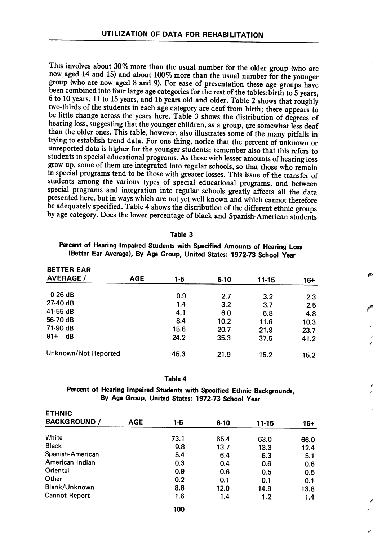This involves about 30% more than the usual number for the older group (who are now aged 14 and 15) and about 100% more than the usual number for the younger group (who are now aged 8 and 9). For ease of presentation these age groups have been combined into four large age categories for the rest of the tables: birth to  $5$  years, 6 to 10 years, 11 to 15 years, and 16 years old and older. Table 2 shows that roughly two-thirds of the students in each age category are deaf from birth; there appears to be little change across the years here. Table 3 shows the distribution of degrees of hearing loss, suggesting that the younger children, as a group, are somewhat less deaf than the older ones. This table, however, also illustrates some of the many pitfalls in trying to establish trend data. For one thing, notice that the percent of unknown or unreported data is higher for the younger students; remember also that this refers to students in special educational programs. As those with lesser amounts of hearing loss grow up, some of them are integrated into regular schools, so that those who remain in special programs tend to be those with greater losses. This issue of the transfer of students among the various types of special educational programs, and between special programs and integration into regular schools greatly affects all the data presented here, but in ways which are not yet well known and which cannot therefore be adequately specified. Table 4 shows the distribution of the different ethnic groups by age category. Does the lower percentage of black and Spanish-American students

#### Table 3

Percent of Hearing Impaired Students with Specified Amounts of Hearing Loss (Better Ear Average), By Age Group, United States: 1972-73 School Year

| <b>BETTER EAR</b><br><b>AVERAGE /</b> | AGE | 1-5  | $6 - 10$ | $11 - 15$ | 16+  |
|---------------------------------------|-----|------|----------|-----------|------|
| $0-26dB$                              |     |      |          |           |      |
|                                       |     | 0.9  | 2.7      | 3.2       | 2.3  |
| $27-40dB$                             |     | 1.4  | 3.2      | 3.7       | 2.5  |
| $41-55$ dB                            |     | 4.1  | 6.0      | 6.8       | 4.8  |
| 56-70 dB                              |     | 8.4  | 10.2     | 11.6      | 10.3 |
| 71-90 dB                              |     | 15.6 | 20.7     | 21.9      | 23.7 |
| $91 +$<br>dB                          |     | 24.2 | 35.3     | 37.5      | 41.2 |
| Unknown/Not Reported                  |     | 45.3 | 21.9     | 15.2      | 15.2 |

#### Table 4

Percent of Hearing Impaired Students with Specified Ethnic Backgrounds, By Age Group, United States: 1972-73 School Year

| $1-5$ | $6 - 10$ | $11 - 15$          | $16+$                                            |
|-------|----------|--------------------|--------------------------------------------------|
| 73.1  | 65.4     |                    | 66.0                                             |
| 9.8   | 13.7     |                    | 12.4                                             |
| 5.4   | 6.4      |                    | 5.1                                              |
| 0.3   | 0.4      |                    | 0.6                                              |
| 0.9   |          |                    | 0.5                                              |
| 0.2   |          |                    | 0.1                                              |
| 8.8   |          |                    | 13.8                                             |
| 1.6   | 1.4      | 1.2                | 1.4                                              |
|       |          | 0.6<br>0.1<br>12.0 | 63.0<br>13.3<br>6.3<br>0.6<br>0.5<br>0.1<br>14.9 |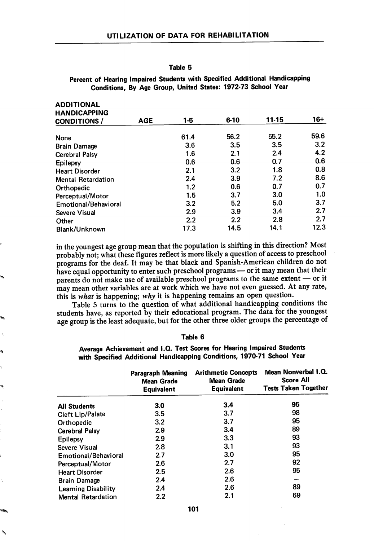ADDITIONAL AL

¢

ò,

# Percent of Hearing Impaired Students with Specified Additional Handicapping Conditions, By Age Group, United States: 1972-73 School Year

| <b>ADDITIONAL</b>         |            |      |          |       |       |
|---------------------------|------------|------|----------|-------|-------|
| <b>HANDICAPPING</b>       |            |      |          |       |       |
| <b>CONDITIONS /</b>       | <b>AGE</b> | 1-5  | $6 - 10$ | 11-15 | $16+$ |
| None                      |            | 61.4 | 56.2     | 55.2  | 59.6  |
| <b>Brain Damage</b>       |            | 3.6  | 3.5      | 3.5   | 3.2   |
| <b>Cerebral Palsy</b>     |            | 1.6  | 2.1      | 2.4   | 4.2   |
| Epilepsy                  |            | 0.6  | 0.6      | 0.7   | 0.6   |
| <b>Heart Disorder</b>     |            | 2.1  | 3.2      | 1.8   | 0.8   |
| <b>Mental Retardation</b> |            | 2.4  | 3.9      | 7.2   | 8.6   |
| Orthopedic                |            | 1.2  | 0.6      | 0.7   | 0.7   |
| Perceptual/Motor          |            | 1.5  | 3.7      | 3.0   | 1.0   |
| Emotional/Behavioral      |            | 3.2  | 5.2      | 5.0   | 3.7   |
| Severe Visual             |            | 2.9  | 3.9      | 3.4   | 2.7   |
| Other                     |            | 2.2  | 2.2      | 2.8   | 2.7   |
| Blank/Unknown             |            | 17.3 | 14.5     | 14.1  | 12.3  |

in the youngest age group mean that the population is shifting in this direction? Most probably not; what these figures reflect is more likely a question of access to preschool programs for the deaf. It may be that black and Spanish-American children do not have equal opportunity to enter such preschool programs — or it may mean that their parents do not make use of available preschool programs to the same extent — or it may mean other variables are at work which we have not even guessed. At any rate, this is what is happening; why it is happening remains an open question.

Table 5 turns to the question of what additional handicapping conditions the students have, as reported by their educational program. The data for the youngest age group is the least adequate, but for the other three older groups the percentage of

## Table 6

Average Achievement and I.Q. Test Scores for Hearing Impaired Students with Specified Additional Handicapping Conditions, 1970-71 School Year

|                            | Paragraph Meaning<br><b>Mean Grade</b><br><b>Equivalent</b> | <b>Arithmetic Concepts</b><br><b>Mean Grade</b><br><b>Equivalent</b> | Mean Nonverbal I.Q.<br><b>Score All</b><br><b>Tests Taken Together</b> |
|----------------------------|-------------------------------------------------------------|----------------------------------------------------------------------|------------------------------------------------------------------------|
| <b>All Students</b>        | 3.0                                                         | 3.4                                                                  | 95                                                                     |
| <b>Cleft Lip/Palate</b>    | 3.5                                                         | 3.7                                                                  | 98                                                                     |
| Orthopedic                 | 3.2                                                         | 3.7                                                                  | 95                                                                     |
| <b>Cerebral Palsy</b>      | 2.9                                                         | 3.4                                                                  | 89                                                                     |
| Epilepsy                   | 2.9                                                         | 3.3                                                                  | 93                                                                     |
| Severe Visual              | 2.8                                                         | 3.1                                                                  | 93                                                                     |
| Emotional/Behavioral       | 2.7                                                         | 3.0                                                                  | 95                                                                     |
| Perceptual/Motor           | 2.6                                                         | 2.7                                                                  | 92                                                                     |
| <b>Heart Disorder</b>      | 2.5                                                         | 2.6                                                                  | 95                                                                     |
| <b>Brain Damage</b>        | 2.4                                                         | 2.6                                                                  |                                                                        |
| <b>Learning Disability</b> | 2.4                                                         | 2.6                                                                  | 89                                                                     |
| <b>Mental Retardation</b>  | 2.2                                                         | 2.1                                                                  | 69                                                                     |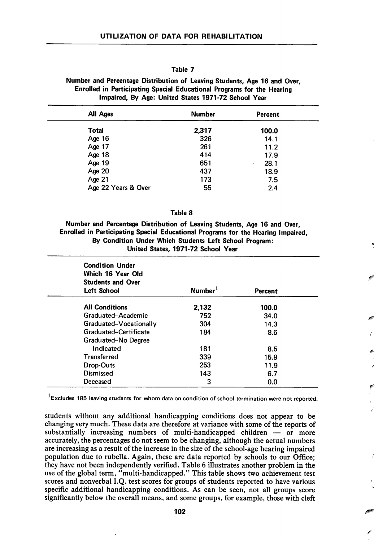# Number and Percentage Distribution of Leaving Students, Age 16 and Over, Enrolled in Participating Special Educational Programs for the Hearing Impaired, By Age: United States 1971-72 School Year

| All Ages            | <b>Number</b> | Percent   |
|---------------------|---------------|-----------|
| <b>Total</b>        | 2,317         | 100.0     |
| Age $16$            | 326           | 14.1      |
| Age 17              | 261           | 11.2      |
| Age 18              | 414           | 17.9      |
| Age 19              | 651           | 28.1<br>٠ |
| Age 20              | 437           | 18.9      |
| Age 21              | 173           | 7.5       |
| Age 22 Years & Over | 55            | 2.4       |

#### Table 8

Number and Percentage Distribution of Leaving Students, Age 16 and Over, Enrolled in Participating Special Educational Programs for the Hearing Impaired, By Condition Under Which Students Left School Program: United States, 1971-72 School Year

| <b>Condition Under</b><br>Which 16 Year Old<br><b>Students and Over</b><br><b>Left School</b> | Number <sup>1</sup> | <b>Percent</b> |  |
|-----------------------------------------------------------------------------------------------|---------------------|----------------|--|
| <b>All Conditions</b>                                                                         | 2,132               | 100.0          |  |
| Graduated-Academic                                                                            | 752                 | 34.0           |  |
| Graduated-Vocationally                                                                        | 304                 | 14.3           |  |
| Graduated-Certificate                                                                         | 184                 | 8.6            |  |
| Graduated-No Degree                                                                           |                     |                |  |
| Indicated                                                                                     | 181                 | 8.5            |  |
| <b>Transferred</b>                                                                            | 339                 | 15.9           |  |
| Drop-Outs                                                                                     | 253                 | 11.9           |  |
| Dismissed                                                                                     | 143                 | 6.7            |  |
| Deceased                                                                                      | 3                   | 0.0            |  |

<sup>1</sup>Excludes 185 leaving students for whom data on condition of school termination were not reported.

students without any additional handicapping conditions does not appear to be changing very much. These data are therefore at variance with some of the reports of substantially increasing numbers of multi-handicapped children — or more accurately, the percentages do not seem to be changing, although the actual numbers are increasing as a result of the increase in the size of the school-age hearing impaired population due to rubella. Again, these are data reported by schools to our Office; they have not been independently verified. Table 6 illustrates another problem in the use of the global term, "multi-handicapped." This table shows two achievement test scores and nonverbal I.Q. test scores for groups of students reported to have various specific additional handicapping conditions. As can be seen, not all groups score significantly below the overall means, and some groups, for example, those with cleft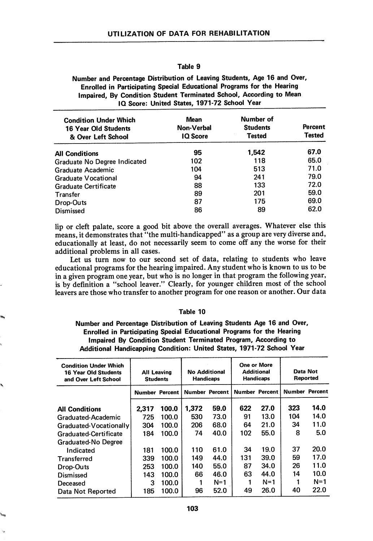Number and Percentage Distribution of Leaving Students, Age 16 and Over, Enrolled in Participating Special Educational Programs for the Hearing Impaired, By Condition Student Terminated School, According to Mean IQ Score: United States, 1971-72 School Year

| <b>Condition Under Which</b><br><b>16 Year Old Students</b><br>& Over Left School | Mean<br>Non-Verbal<br><b>IQ</b> Score | Number of<br><b>Students</b><br><b>Tested</b> | <b>Percent</b><br><b>Tested</b> |
|-----------------------------------------------------------------------------------|---------------------------------------|-----------------------------------------------|---------------------------------|
| <b>All Conditions</b>                                                             | 95                                    | 1.542                                         | 67.0                            |
| Graduate No Degree Indicated                                                      | 102                                   | 118                                           | 65.0                            |
| Graduate Academic                                                                 | 104                                   | 513                                           | 71.0                            |
| <b>Graduate Vocational</b>                                                        | 94                                    | 241                                           | 79.0                            |
| <b>Graduate Certificate</b>                                                       | 88                                    | 133                                           | 72.0                            |
| Transfer                                                                          | 89                                    | 201                                           | 59.0                            |
| Drop-Outs                                                                         | 87                                    | 175                                           | 69.0                            |
| <b>Dismissed</b>                                                                  | 86                                    | 89                                            | 62.0                            |

lip or cleft palate, score a good bit above the overall averages. Whatever else this means, it demonstrates that "the multi-handicapped'' as a group are very diverse and, educationally at least, do not necessarily seem to come off any the worse for their additional problems in all cases.

Let us turn now to our second set of data, relating to students who leave educational programs for the hearing impaired. Any student who is known to us to be in a given program one year, but who is no longer in that program the following year, is by definition a "school leaver." Clearly, for younger children most of the school leavers are those who transfer to another program for one reason or another. Our data

## Table 10

Number and Percentage Distribution of Leaving Students Age 16 and Over, Enrolled in Participating Special Educational Programs for the Hearing Impaired By Condition Student Terminated Program, According to Additional Handicapping Condition: United States, 1971-72 School Year

| <b>Condition Under Which</b><br><b>16 Year Old Students</b><br>and Over Left School | <b>All Leaving</b><br><b>Students</b> |       | <b>No Additional</b><br><b>Handicaps</b> |       | One or More<br><b>Additional</b> | <b>Handicaps</b>      | Data Not      | Reported |
|-------------------------------------------------------------------------------------|---------------------------------------|-------|------------------------------------------|-------|----------------------------------|-----------------------|---------------|----------|
|                                                                                     | <b>Number Percent</b>                 |       | <b>Number Percent</b>                    |       |                                  | <b>Number Percent</b> | <b>Number</b> | Percent  |
| <b>All Conditions</b>                                                               | 2,317                                 | 100.0 | 1.372                                    | 59.0  | 622                              | 27.0                  | 323           | 14.0     |
| Graduated-Academic                                                                  | 725                                   | 100.0 | 530                                      | 73.0  | 91                               | 13.0                  | 104           | 14.0     |
| Graduated-Vocationally                                                              | 304                                   | 100.0 | 206                                      | 68.0  | 64                               | 21.0                  | 34            | 11.0     |
| Graduated-Certificate                                                               | 184                                   | 100.0 | 74                                       | 40.0  | 102                              | 55.0                  | 8             | 5.0      |
| <b>Graduated-No Degree</b>                                                          |                                       |       |                                          |       |                                  |                       |               |          |
| Indicated                                                                           | 181                                   | 100.0 | 110                                      | 61.0  | 34                               | 19.0                  | 37            | 20.0     |
| <b>Transferred</b>                                                                  | 339                                   | 100.0 | 149                                      | 44.0  | 131                              | 39.0                  | 59            | 17.0     |
| Drop-Outs                                                                           | 253                                   | 100.0 | 140                                      | 55.0  | 87                               | 34.0                  | 26            | 11.0     |
| Dismissed                                                                           | 143                                   | 100.0 | 66                                       | 46.0  | 63                               | 44.0                  | 14            | 10.0     |
| Deceased                                                                            | 3                                     | 100.0 |                                          | $N=1$ |                                  | $N=1$                 |               | $N=1$    |
| Data Not Reported                                                                   | 185                                   | 100.0 | 96                                       | 52.0  | 49                               | 26.0                  | 40            | 22.0     |